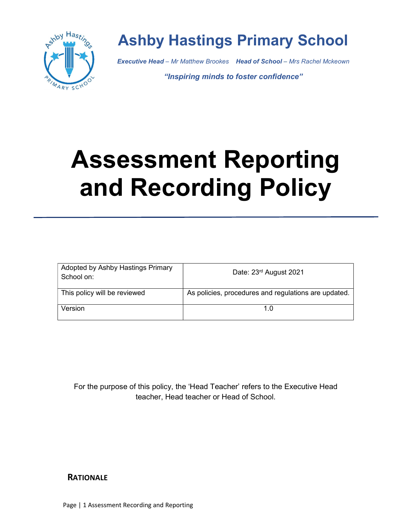

# Ashby Hastings Primary School

Executive Head - Mr Matthew Brookes Head of School - Mrs Rachel Mckeown

"Inspiring minds to foster confidence"

# Assessment Reporting and Recording Policy

| Adopted by Ashby Hastings Primary<br>School on: | Date: 23rd August 2021                               |
|-------------------------------------------------|------------------------------------------------------|
| This policy will be reviewed                    | As policies, procedures and regulations are updated. |
| Version                                         | 1.0                                                  |

For the purpose of this policy, the 'Head Teacher' refers to the Executive Head teacher, Head teacher or Head of School.

# **RATIONALE**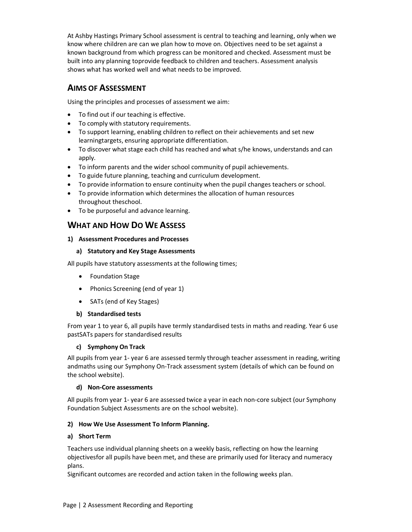At Ashby Hastings Primary School assessment is central to teaching and learning, only when we know where children are can we plan how to move on. Objectives need to be set against a known background from which progress can be monitored and checked. Assessment must be built into any planning to provide feedback to children and teachers. Assessment analysis shows what has worked well and what needs to be improved.

### AIMS OF ASSESSMENT

Using the principles and processes of assessment we aim:

- To find out if our teaching is effective.
- To comply with statutory requirements.
- To support learning, enabling children to reflect on their achievements and set new learning targets, ensuring appropriate differentiation.
- To discover what stage each child has reached and what s/he knows, understands and can apply.
- To inform parents and the wider school community of pupil achievements.
- To guide future planning, teaching and curriculum development.
- To provide information to ensure continuity when the pupil changes teachers or school.
- To provide information which determines the allocation of human resources throughout the school.
- To be purposeful and advance learning.

# WHAT AND HOW DO WE ASSESS

#### 1) Assessment Procedures and Processes

#### a) Statutory and Key Stage Assessments

All pupils have statutory assessments at the following times;

- Foundation Stage
- Phonics Screening (end of year 1)
- SATs (end of Key Stages)

#### b) Standardised tests

From year 1 to year 6, all pupils have termly standardised tests in maths and reading. Year 6 use past SATs papers for standardised results

#### c) Symphony On Track

All pupils from year 1- year 6 are assessed termly through teacher assessment in reading, writing and maths using our Symphony On-Track assessment system (details of which can be found on the school website).

#### d) Non-Core assessments

All pupils from year 1- year 6 are assessed twice a year in each non-core subject (our Symphony Foundation Subject Assessments are on the school website).

#### 2) How We Use Assessment To Inform Planning.

#### a) Short Term

Teachers use individual planning sheets on a weekly basis, reflecting on how the learning objectives for all pupils have been met, and these are primarily used for literacy and numeracy plans.

Significant outcomes are recorded and action taken in the following weeks plan.